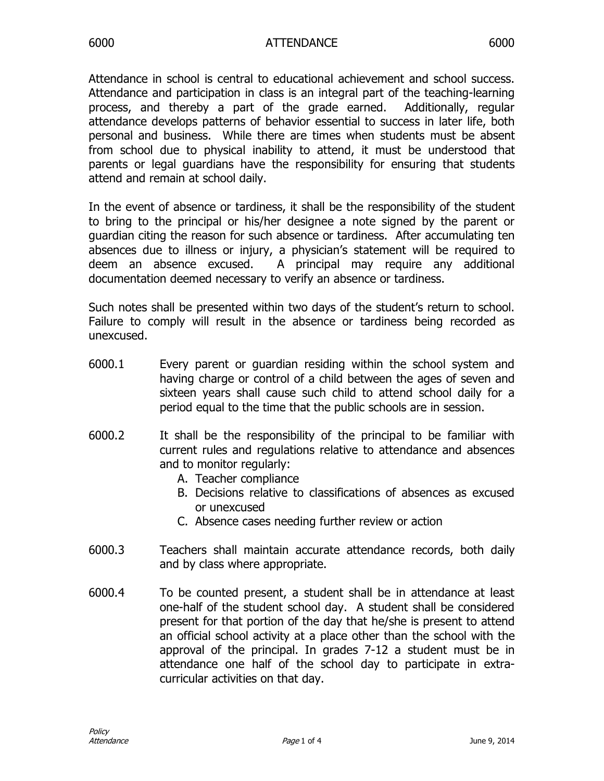Attendance in school is central to educational achievement and school success. Attendance and participation in class is an integral part of the teaching-learning process, and thereby a part of the grade earned. Additionally, regular attendance develops patterns of behavior essential to success in later life, both personal and business. While there are times when students must be absent from school due to physical inability to attend, it must be understood that parents or legal guardians have the responsibility for ensuring that students attend and remain at school daily.

In the event of absence or tardiness, it shall be the responsibility of the student to bring to the principal or his/her designee a note signed by the parent or guardian citing the reason for such absence or tardiness. After accumulating ten absences due to illness or injury, a physician's statement will be required to deem an absence excused. A principal may require any additional documentation deemed necessary to verify an absence or tardiness.

Such notes shall be presented within two days of the student's return to school. Failure to comply will result in the absence or tardiness being recorded as unexcused.

- 6000.1 Every parent or guardian residing within the school system and having charge or control of a child between the ages of seven and sixteen years shall cause such child to attend school daily for a period equal to the time that the public schools are in session.
- 6000.2 It shall be the responsibility of the principal to be familiar with current rules and regulations relative to attendance and absences and to monitor regularly:
	- A. Teacher compliance
	- B. Decisions relative to classifications of absences as excused or unexcused
	- C. Absence cases needing further review or action
- 6000.3 Teachers shall maintain accurate attendance records, both daily and by class where appropriate.
- 6000.4 To be counted present, a student shall be in attendance at least one-half of the student school day. A student shall be considered present for that portion of the day that he/she is present to attend an official school activity at a place other than the school with the approval of the principal. In grades 7-12 a student must be in attendance one half of the school day to participate in extracurricular activities on that day.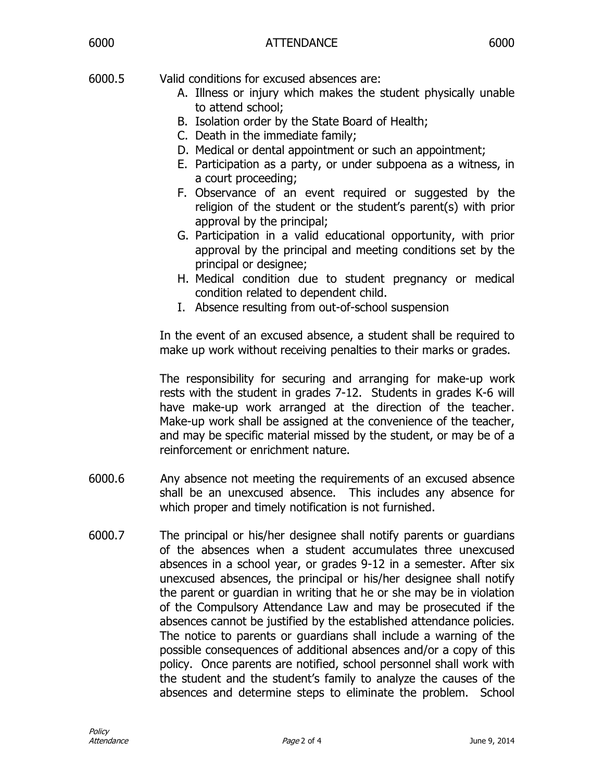- 6000.5 Valid conditions for excused absences are:
	- A. Illness or injury which makes the student physically unable to attend school;
	- B. Isolation order by the State Board of Health;
	- C. Death in the immediate family;
	- D. Medical or dental appointment or such an appointment;
	- E. Participation as a party, or under subpoena as a witness, in a court proceeding;
	- F. Observance of an event required or suggested by the religion of the student or the student's parent(s) with prior approval by the principal;
	- G. Participation in a valid educational opportunity, with prior approval by the principal and meeting conditions set by the principal or designee;
	- H. Medical condition due to student pregnancy or medical condition related to dependent child.
	- I. Absence resulting from out-of-school suspension

In the event of an excused absence, a student shall be required to make up work without receiving penalties to their marks or grades.

The responsibility for securing and arranging for make-up work rests with the student in grades 7-12. Students in grades K-6 will have make-up work arranged at the direction of the teacher. Make-up work shall be assigned at the convenience of the teacher, and may be specific material missed by the student, or may be of a reinforcement or enrichment nature.

- 6000.6 Any absence not meeting the requirements of an excused absence shall be an unexcused absence. This includes any absence for which proper and timely notification is not furnished.
- 6000.7 The principal or his/her designee shall notify parents or guardians of the absences when a student accumulates three unexcused absences in a school year, or grades 9-12 in a semester. After six unexcused absences, the principal or his/her designee shall notify the parent or guardian in writing that he or she may be in violation of the Compulsory Attendance Law and may be prosecuted if the absences cannot be justified by the established attendance policies. The notice to parents or guardians shall include a warning of the possible consequences of additional absences and/or a copy of this policy. Once parents are notified, school personnel shall work with the student and the student's family to analyze the causes of the absences and determine steps to eliminate the problem. School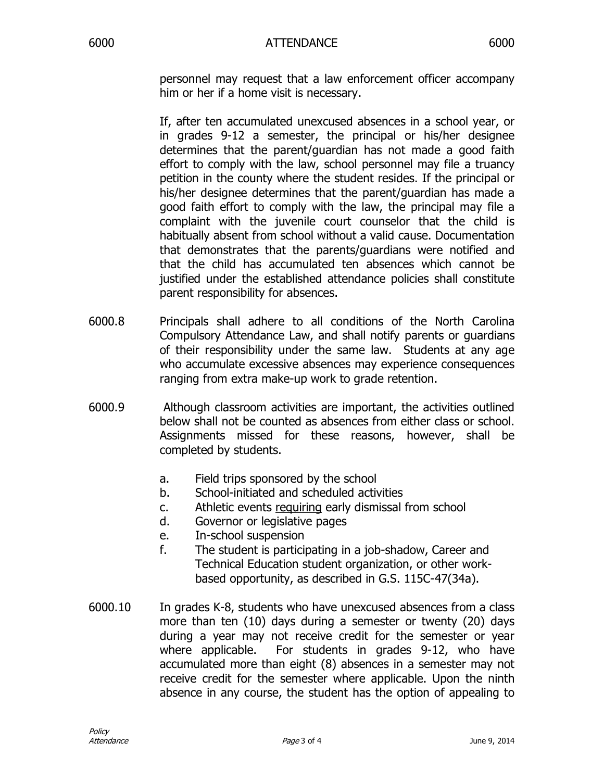personnel may request that a law enforcement officer accompany him or her if a home visit is necessary.

If, after ten accumulated unexcused absences in a school year, or in grades 9-12 a semester, the principal or his/her designee determines that the parent/guardian has not made a good faith effort to comply with the law, school personnel may file a truancy petition in the county where the student resides. If the principal or his/her designee determines that the parent/guardian has made a good faith effort to comply with the law, the principal may file a complaint with the juvenile court counselor that the child is habitually absent from school without a valid cause. Documentation that demonstrates that the parents/guardians were notified and that the child has accumulated ten absences which cannot be justified under the established attendance policies shall constitute parent responsibility for absences.

- 6000.8 Principals shall adhere to all conditions of the North Carolina Compulsory Attendance Law, and shall notify parents or guardians of their responsibility under the same law. Students at any age who accumulate excessive absences may experience consequences ranging from extra make-up work to grade retention.
- 6000.9 Although classroom activities are important, the activities outlined below shall not be counted as absences from either class or school. Assignments missed for these reasons, however, shall be completed by students.
	- a. Field trips sponsored by the school
	- b. School-initiated and scheduled activities
	- c. Athletic events requiring early dismissal from school
	- d. Governor or legislative pages
	- e. In-school suspension
	- f. The student is participating in a job-shadow, Career and Technical Education student organization, or other workbased opportunity, as described in G.S. 115C-47(34a).
- 6000.10 In grades K-8, students who have unexcused absences from a class more than ten (10) days during a semester or twenty (20) days during a year may not receive credit for the semester or year where applicable. For students in grades 9-12, who have accumulated more than eight (8) absences in a semester may not receive credit for the semester where applicable. Upon the ninth absence in any course, the student has the option of appealing to